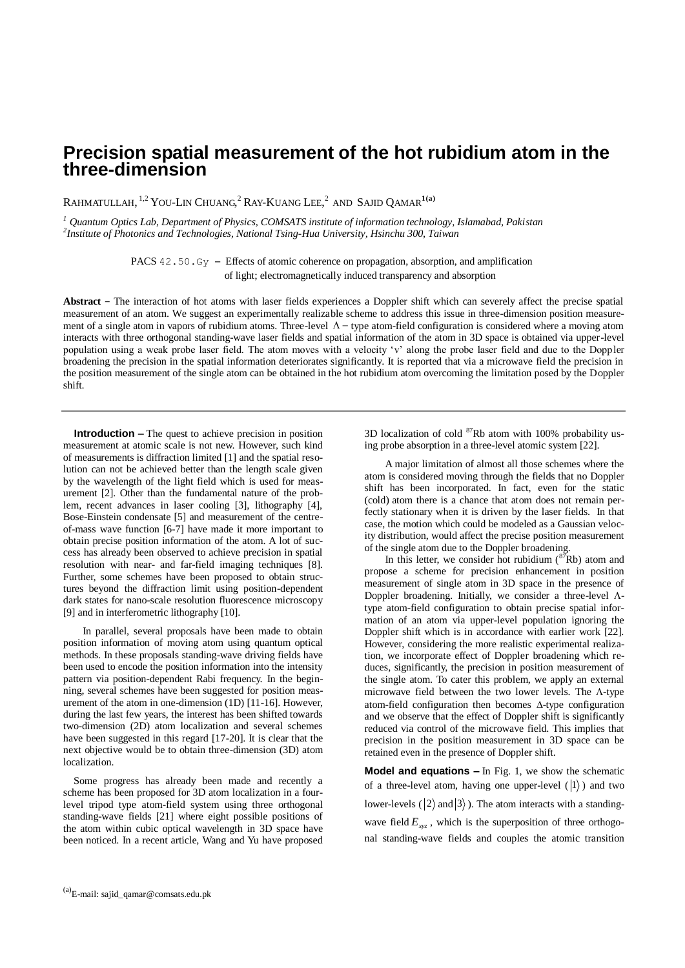## **Precision spatial measurement of the hot rubidium atom in the three-dimension**

RAHMATULLAH, 1,2 YOU-LIN CHUANG, <sup>2</sup> RAY-KUANG LEE, 2 AND SAJID QAMAR**1(a)**

*<sup>1</sup> Quantum Optics Lab, Department of Physics, COMSATS institute of information technology, Islamabad, Pakistan 2 Institute of Photonics and Technologies, National Tsing-Hua University, Hsinchu 300, Taiwan* 

> PACS 42.50.Gy – Effects of atomic coherence on propagation, absorption, and amplification of light; electromagnetically induced transparency and absorption

**Abstract** – The interaction of hot atoms with laser fields experiences a Doppler shift which can severely affect the precise spatial measurement of an atom. We suggest an experimentally realizable scheme to address this issue in three-dimension position measurement of a single atom in vapors of rubidium atoms. Three-level  $\Lambda$  – type atom-field configuration is considered where a moving atom interacts with three orthogonal standing-wave laser fields and spatial information of the atom in 3D space is obtained via upper-level population using a weak probe laser field. The atom moves with a velocity 'v' along the probe laser field and due to the Doppler broadening the precision in the spatial information deteriorates significantly. It is reported that via a microwave field the precision in the position measurement of the single atom can be obtained in the hot rubidium atom overcoming the limitation posed by the Doppler shift.

**Introduction –** The quest to achieve precision in position measurement at atomic scale is not new. However, such kind of measurements is diffraction limited [1] and the spatial resolution can not be achieved better than the length scale given by the wavelength of the light field which is used for measurement [2]. Other than the fundamental nature of the problem, recent advances in laser cooling [3], lithography [4], Bose-Einstein condensate [5] and measurement of the centreof-mass wave function [6-7] have made it more important to obtain precise position information of the atom. A lot of success has already been observed to achieve precision in spatial resolution with near- and far-field imaging techniques [8]. Further, some schemes have been proposed to obtain structures beyond the diffraction limit using position-dependent dark states for nano-scale resolution fluorescence microscopy [9] and in interferometric lithography [10].

 In parallel, several proposals have been made to obtain position information of moving atom using quantum optical methods. In these proposals standing-wave driving fields have been used to encode the position information into the intensity pattern via position-dependent Rabi frequency. In the beginning, several schemes have been suggested for position measurement of the atom in one-dimension (1D) [11-16]. However, during the last few years, the interest has been shifted towards two-dimension (2D) atom localization and several schemes have been suggested in this regard [17-20]. It is clear that the next objective would be to obtain three-dimension (3D) atom localization.

Some progress has already been made and recently a scheme has been proposed for 3D atom localization in a fourlevel tripod type atom-field system using three orthogonal standing-wave fields [21] where eight possible positions of the atom within cubic optical wavelength in 3D space have been noticed. In a recent article, Wang and Yu have proposed 3D localization of cold  ${}^{87}Rb$  atom with 100% probability using probe absorption in a three-level atomic system [22].

A major limitation of almost all those schemes where the atom is considered moving through the fields that no Doppler shift has been incorporated. In fact, even for the static (cold) atom there is a chance that atom does not remain perfectly stationary when it is driven by the laser fields. In that case, the motion which could be modeled as a Gaussian velocity distribution, would affect the precise position measurement of the single atom due to the Doppler broadening.

In this letter, we consider hot rubidium  $({}^{87}Rb)$  atom and propose a scheme for precision enhancement in position measurement of single atom in 3D space in the presence of Doppler broadening. Initially, we consider a three-level  $\Lambda$ type atom-field configuration to obtain precise spatial information of an atom via upper-level population ignoring the Doppler shift which is in accordance with earlier work [22]. However, considering the more realistic experimental realization, we incorporate effect of Doppler broadening which reduces, significantly, the precision in position measurement of the single atom. To cater this problem, we apply an external microwave field between the two lower levels. The  $\Lambda$ -type atom-field configuration then becomes  $\Delta$ -type configuration and we observe that the effect of Doppler shift is significantly reduced via control of the microwave field. This implies that precision in the position measurement in 3D space can be retained even in the presence of Doppler shift.

**Model and equations –** In Fig. 1, we show the schematic of a three-level atom, having one upper-level  $(|1\rangle)$  and two lower-levels ( $|2\rangle$  and  $|3\rangle$ ). The atom interacts with a standingwave field  $E_{xyz}$ , which is the superposition of three orthogonal standing-wave fields and couples the atomic transition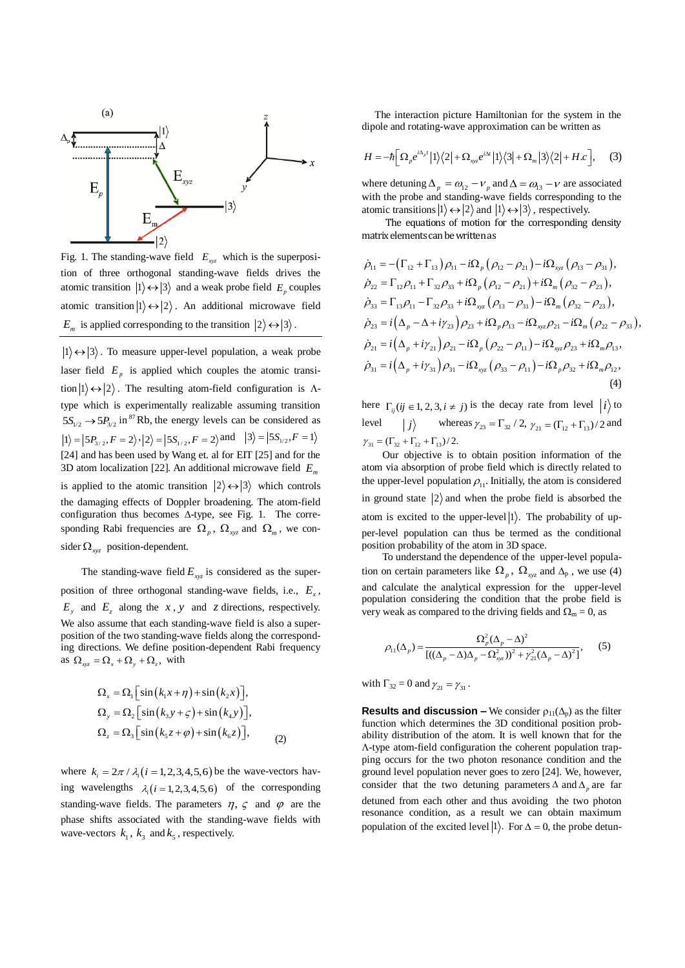

Fig. 1. The standing-wave field  $E_{xyz}$  which is the superposition of three orthogonal standing-wave fields drives the atomic transition  $|1\rangle \leftrightarrow |3\rangle$  and a weak probe field  $E_p$  couples atomic transition  $|1\rangle \leftrightarrow |2\rangle$ . An additional microwave field  $E_m$  is applied corresponding to the transition  $|2\rangle \leftrightarrow |3\rangle$ .

 $1\rangle \leftrightarrow |3\rangle$ . To measure upper-level population, a weak probe laser field  $E_p$  is applied which couples the atomic transition  $|1\rangle \leftrightarrow |2\rangle$ . The resulting atom-field configuration is  $\Lambda$ type which is experimentally realizable assuming transition  $5S_{1/2} \rightarrow 5P_{3/2}$  in <sup>87</sup>Rb, the energy levels can be considered as  $|1\rangle = |5P_{3/2}, F = 2\rangle, |2\rangle = |5S_{1/2}, F = 2\rangle$  and  $|3\rangle = |5S_{1/2}, F = 1\rangle$ [24] and has been used by Wang et. al for EIT [25] and for the 3D atom localization [22]. An additional microwave field *E m* is applied to the atomic transition  $|2\rangle \leftrightarrow |3\rangle$  which controls the damaging effects of Doppler broadening. The atom-field configuration thus becomes  $\Delta$ -type, see Fig. 1. The corresponding Rabi frequencies are  $\Omega_p$ ,  $\Omega_{xyz}$  and  $\Omega_m$ , we consider  $\Omega_{xyz}$  position-dependent.

The standing-wave field  $E_{xyz}$  is considered as the superposition of three orthogonal standing-wave fields, i.e.,  $E_x$ ,  $E_y$  and  $E_z$  along the *x*, *y* and *z* directions, respectively. We also assume that each standing-wave field is also a superposition of the two standing-wave fields along the corresponding directions. We define position-dependent Rabi frequency as  $\Omega_{xyz} = \Omega_x + \Omega_y + \Omega_z$ , with

$$
\Omega_x = \Omega_1 \left[ \sin (k_1 x + \eta) + \sin (k_2 x) \right],
$$
  
\n
$$
\Omega_y = \Omega_2 \left[ \sin (k_3 y + \zeta) + \sin (k_4 y) \right],
$$
  
\n
$$
\Omega_z = \Omega_3 \left[ \sin (k_5 z + \varphi) + \sin (k_6 z) \right],
$$
 (2)

where  $k_i = 2\pi / \lambda_i (i = 1, 2, 3, 4, 5, 6)$  be the wave-vectors having wavelengths  $\lambda_i$  (*i* = 1, 2, 3, 4, 5, 6) of the corresponding standing-wave fields. The parameters  $\eta$ ,  $\zeta$  and  $\varphi$  are the phase shifts associated with the standing-wave fields with wave-vectors  $k_1$ ,  $k_3$  and  $k_5$ , respectively.

 The interaction picture Hamiltonian for the system in the dipole and rotating-wave approximation can be written as

$$
H = -\hbar \Big[ \Omega_p e^{i\Delta_p t} \Big| 1 \Big\rangle \Big\langle 2 \Big| + \Omega_{xyz} e^{i\Delta t} \Big| 1 \Big\rangle \Big\langle 3 \Big| + \Omega_m \Big| 3 \Big\rangle \Big\langle 2 \Big| + H.c \Big], \quad (3)
$$

where detuning  $\Delta_p = \omega_{12} - v_p$  and  $\Delta = \omega_{13} - v$  are associated with the probe and standing-wave fields corresponding to the atomic transitions  $|1\rangle \leftrightarrow |2\rangle$  and  $|1\rangle \leftrightarrow |3\rangle$ , respectively.

 The equations of motion for the corresponding density matrix elements can be written as

matrix elements can be written as  
\n
$$
\dot{\rho}_{11} = -(\Gamma_{12} + \Gamma_{13}) \rho_{11} - i\Omega_p (\rho_{12} - \rho_{21}) - i\Omega_{xyz} (\rho_{13} - \rho_{31}),
$$
\n
$$
\dot{\rho}_{22} = \Gamma_{12}\rho_{11} + \Gamma_{32}\rho_{33} + i\Omega_p (\rho_{12} - \rho_{21}) + i\Omega_m (\rho_{32} - \rho_{23}),
$$
\n
$$
\dot{\rho}_{33} = \Gamma_{13}\rho_{11} - \Gamma_{32}\rho_{33} + i\Omega_{xyz} (\rho_{13} - \rho_{31}) - i\Omega_m (\rho_{32} - \rho_{23}),
$$
\n
$$
\dot{\rho}_{23} = i(\Delta_p - \Delta + i\gamma_{23}) \rho_{23} + i\Omega_p \rho_{13} - i\Omega_{xyz} \rho_{21} - i\Omega_m (\rho_{22} - \rho_{33}),
$$
\n
$$
\dot{\rho}_{21} = i(\Delta_p + i\gamma_{21}) \rho_{21} - i\Omega_p (\rho_{22} - \rho_{11}) - i\Omega_{xyz} \rho_{23} + i\Omega_m \rho_{13},
$$
\n
$$
\dot{\rho}_{31} = i(\Delta_p + i\gamma_{31}) \rho_{31} - i\Omega_{xyz} (\rho_{33} - \rho_{11}) - i\Omega_p \rho_{32} + i\Omega_m \rho_{12},
$$
\n(4)

here  $\Gamma_{ij}$  (*ij*  $\in$  1, 2, 3, *i*  $\neq$  *j*) is the decay rate from level  $|i\rangle$  to level  $|j\rangle$ whereas  $\gamma_{23} = \Gamma_{32} / 2$ ,  $\gamma_{21} = (\Gamma_{12} + \Gamma_{13}) / 2$  and  $\gamma_{31} = (\Gamma_{32} + \Gamma_{12} + \Gamma_{13})/2.$ 

Our objective is to obtain position information of the atom via absorption of probe field which is directly related to the upper-level population  $\rho_{11}$ . Initially, the atom is considered in ground state  $|2\rangle$  and when the probe field is absorbed the atom is excited to the upper-level  $|1\rangle$ . The probability of upper-level population can thus be termed as the conditional position probability of the atom in 3D space.

To understand the dependence of the upper-level population on certain parameters like  $\Omega_p$ ,  $\Omega_{xyz}$  and  $\Delta_p$ , we use (4) and calculate the analytical expression for the upper-level population considering the condition that the probe field is very weak as compared to the driving fields and  $\Omega_m = 0$ , as

$$
\rho_{11}(\Delta_p) = \frac{\Omega_p^2(\Delta_p - \Delta)^2}{[( (\Delta_p - \Delta)\Delta_p - \Omega_{xyz}^2)^2 + \gamma_{21}^2(\Delta_p - \Delta)^2]},
$$
(5)

with  $\Gamma_{32} = 0$  and  $\gamma_{21} = \gamma_{31}$ .

**Results and discussion –** We consider  $\rho_{11}(\Delta_n)$  as the filter function which determines the 3D conditional position probability distribution of the atom. It is well known that for the -type atom-field configuration the coherent population trapping occurs for the two photon resonance condition and the ground level population never goes to zero [24]. We, however, consider that the two detuning parameters  $\Delta$  and  $\Delta$ <sub>p</sub> are far detuned from each other and thus avoiding the two photon resonance condition, as a result we can obtain maximum population of the excited level  $|1\rangle$ . For  $\Delta = 0$ , the probe detun-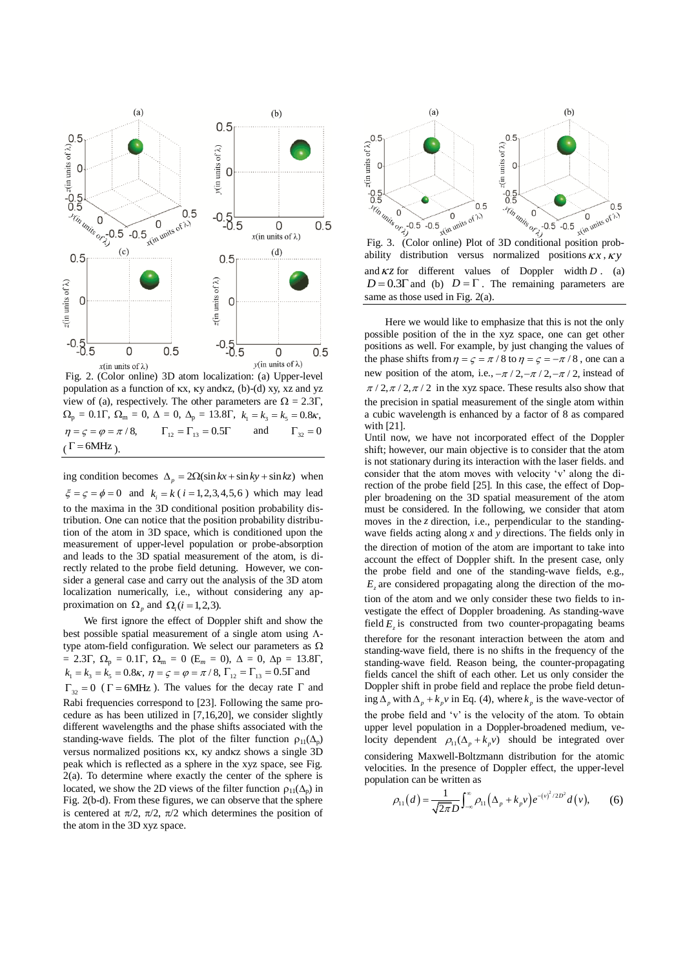

Fig. 2. (Color online) 3D atom localization: (a) Upper-level population as a function of  $\kappa x$ ,  $\kappa y$  and $\kappa z$ , (b)-(d) xy, xz and yz view of (a), respectively. The other parameters are  $\Omega = 2.3\Gamma$ ,  $\Omega_{\rm p} = 0.1\Gamma, \ \Omega_{\rm m} = 0, \ \Delta = 0, \ \Delta_{\rm p} = 13.8\Gamma, \ \ k_{\rm l} = k_{\rm s} = k_{\rm s} = 0.8\kappa,$  $\eta = \zeta = \varphi = \pi/8, \qquad \Gamma_{12} = \Gamma_{13} = 0.5\Gamma$ and  $\Gamma_{32} = 0$  $(\Gamma = 6MHz)$ .

ing condition becomes  $\Delta_p = 2\Omega(\sin kx + \sin ky + \sin kz)$  when  $\xi = \zeta = \phi = 0$  and  $k_i = k$  (*i* = 1,2,3,4,5,6) which may lead to the maxima in the 3D conditional position probability distribution. One can notice that the position probability distribution of the atom in 3D space, which is conditioned upon the measurement of upper-level population or probe-absorption and leads to the 3D spatial measurement of the atom, is directly related to the probe field detuning. However, we consider a general case and carry out the analysis of the 3D atom localization numerically, i.e., without considering any approximation on  $\Omega$ <sub>*p*</sub> and  $\Omega$ <sub>*i*</sub>(*i* = 1, 2, 3).

We first ignore the effect of Doppler shift and show the best possible spatial measurement of a single atom using  $\Lambda$ type atom-field configuration. We select our parameters as  $\Omega$  $= 2.3\Gamma, \ \Omega_p = 0.1\Gamma, \ \Omega_m = 0 \ (E_m = 0), \ \Delta = 0, \ \Delta p = 13.8\Gamma,$  $k_1 = k_3 = k_5 = 0.8\kappa, \eta = \varsigma = \varphi = \pi/8, \Gamma_{12} = \Gamma_{13} = 0.5\Gamma$  and  $\Gamma_{32} = 0$  ( $\Gamma = 6$ MHz). The values for the decay rate  $\Gamma$  and Rabi frequencies correspond to [23]. Following the same procedure as has been utilized in [7,16,20], we consider slightly different wavelengths and the phase shifts associated with the standing-wave fields. The plot of the filter function  $\rho_{11}(\Delta_p)$ versus normalized positions  $\kappa x$ ,  $\kappa y$  and  $\kappa z$  shows a single 3D peak which is reflected as a sphere in the xyz space, see Fig.  $2(a)$ . To determine where exactly the center of the sphere is located, we show the 2D views of the filter function  $\rho_{11}(\Delta_{p})$  in Fig. 2(b-d). From these figures, we can observe that the sphere is centered at  $\pi/2$ ,  $\pi/2$ ,  $\pi/2$  which determines the position of the atom in the 3D xyz space.



ability distribution versus normalized positions  $k x$ ,  $k y$ and  $\kappa z$  for different values of Doppler width *D*. (a)  $D = 0.3\Gamma$  and (b)  $D = \Gamma$ . The remaining parameters are same as those used in Fig. 2(a).

Here we would like to emphasize that this is not the only possible position of the in the xyz space, one can get other positions as well. For example, by just changing the values of the phase shifts from  $\eta = \varsigma = \pi / 8$  to  $\eta = \varsigma = -\pi / 8$ , one can a new position of the atom, i.e.,  $-\pi/2$ ,  $-\pi/2$ ,  $-\pi/2$ , instead of  $\pi$  / 2,  $\pi$  / 2,  $\pi$  / 2 in the xyz space. These results also show that the precision in spatial measurement of the single atom within a cubic wavelength is enhanced by a factor of 8 as compared with [21].

Until now, we have not incorporated effect of the Doppler shift; however, our main objective is to consider that the atom is not stationary during its interaction with the laser fields. and consider that the atom moves with velocity 'v' along the direction of the probe field [25]. In this case, the effect of Doppler broadening on the 3D spatial measurement of the atom must be considered. In the following, we consider that atom moves in the *z* direction, i.e., perpendicular to the standingwave fields acting along  $x$  and  $y$  directions. The fields only in the direction of motion of the atom are important to take into account the effect of Doppler shift. In the present case, only the probe field and one of the standing-wave fields, e.g.,  $E<sub>z</sub>$  are considered propagating along the direction of the motion of the atom and we only consider these two fields to investigate the effect of Doppler broadening. As standing-wave field  $E_z$  is constructed from two counter-propagating beams therefore for the resonant interaction between the atom and standing-wave field, there is no shifts in the frequency of the standing-wave field. Reason being, the counter-propagating fields cancel the shift of each other. Let us only consider the Doppler shift in probe field and replace the probe field detuning  $\Delta_p$  with  $\Delta_p + k_p v$  in Eq. (4), where  $k_p$  is the wave-vector of the probe field and 'v' is the velocity of the atom. To obtain upper level population in a Doppler-broadened medium, velocity dependent  $\rho_{11}(\Delta_p + k_p v)$  should be integrated over considering Maxwell-Boltzmann distribution for the atomic velocities. In the presence of Doppler effect, the upper-level population can be written as

$$
\rho_{11}(d) = \frac{1}{\sqrt{2\pi D}} \int_{-\infty}^{\infty} \rho_{11}(\Delta_p + k_p v) e^{-(v)^2/2D^2} d(v), \qquad (6)
$$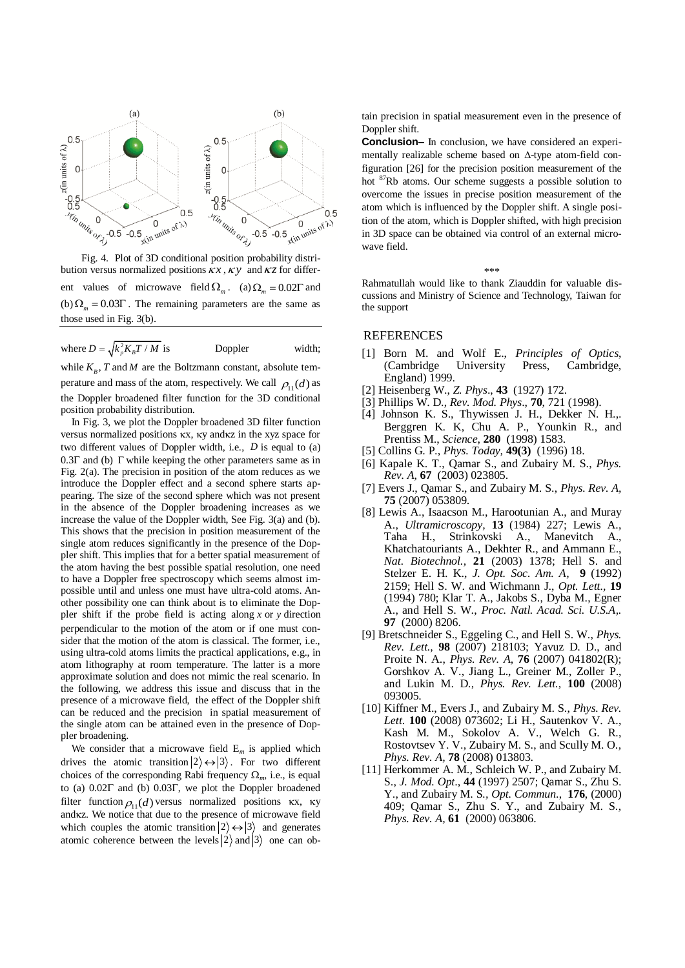

Fig. 4. Plot of 3D conditional position probability distribution versus normalized positions  $\overline{k}x$ ,  $\overline{k}y$  and  $\overline{k}z$  for different values of microwave field  $\Omega_m$ . (a)  $\Omega_m = 0.02\Gamma$  and (b)  $\Omega_m = 0.03\Gamma$ . The remaining parameters are the same as those used in Fig. 3(b).

where  $D = \sqrt{k_p^2 K_B T / M}$ Doppler width;

while  $K_{B}$ , *T* and *M* are the Boltzmann constant, absolute temperature and mass of the atom, respectively. We call  $\rho_{11}(d)$  as the Doppler broadened filter function for the 3D conditional position probability distribution.

In Fig. 3, we plot the Doppler broadened 3D filter function versus normalized positions  $\kappa x$ ,  $\kappa y$  and $\kappa z$  in the xyz space for two different values of Doppler width, i.e., *D* is equal to (a)  $0.3\Gamma$  and (b)  $\Gamma$  while keeping the other parameters same as in Fig. 2(a). The precision in position of the atom reduces as we introduce the Doppler effect and a second sphere starts appearing. The size of the second sphere which was not present in the absence of the Doppler broadening increases as we increase the value of the Doppler width, See Fig. 3(a) and (b). This shows that the precision in position measurement of the single atom reduces significantly in the presence of the Doppler shift. This implies that for a better spatial measurement of the atom having the best possible spatial resolution, one need to have a Doppler free spectroscopy which seems almost impossible until and unless one must have ultra-cold atoms. Another possibility one can think about is to eliminate the Doppler shift if the probe field is acting along *x* or *y* direction perpendicular to the motion of the atom or if one must consider that the motion of the atom is classical. The former, i.e., using ultra-cold atoms limits the practical applications, e.g., in atom lithography at room temperature. The latter is a more approximate solution and does not mimic the real scenario. In the following, we address this issue and discuss that in the presence of a microwave field, the effect of the Doppler shift can be reduced and the precision in spatial measurement of the single atom can be attained even in the presence of Doppler broadening.

We consider that a microwave field  $E_m$  is applied which drives the atomic transition  $|2\rangle \leftrightarrow |3\rangle$ . For two different choices of the corresponding Rabi frequency  $\Omega_m$ , i.e., is equal to (a)  $0.02\Gamma$  and (b)  $0.03\Gamma$ , we plot the Doppler broadened filter function  $\rho_{11}(d)$  versus normalized positions  $\kappa x$ ,  $\kappa y$ andkz. We notice that due to the presence of microwave field which couples the atomic transition  $|2\rangle \leftrightarrow |3\rangle$  and generates atomic coherence between the levels  $|2\rangle$  and  $|3\rangle$  one can obtain precision in spatial measurement even in the presence of Doppler shift.

**Conclusion–** In conclusion, we have considered an experimentally realizable scheme based on  $\Delta$ -type atom-field configuration [26] for the precision position measurement of the hot <sup>87</sup>Rb atoms. Our scheme suggests a possible solution to overcome the issues in precise position measurement of the atom which is influenced by the Doppler shift. A single position of the atom, which is Doppler shifted, with high precision in 3D space can be obtained via control of an external microwave field.

Rahmatullah would like to thank Ziauddin for valuable discussions and Ministry of Science and Technology, Taiwan for the support

\*\*\*

## **REFERENCES**

- [1] Born M. and Wolf E., *Principles of Optics*, (Cambridge University Press, Cambridge, England) 1999.
- [2] Heisenberg W., *Z. Phys*., **43** (1927) 172.
- [3] Phillips W. D., *Rev. Mod. Phys*., **70**, 721 (1998).
- [4] Johnson K. S., Thywissen J. H., Dekker N. H.,. Berggren K. K, Chu A. P., Younkin R., and Prentiss M., *Science*, **280** (1998) 1583.
- [5] Collins G. P., *Phys. Today,* **49(3)** (1996) 18.
- [6] Kapale K. T., Qamar S., and Zubairy M. S., *Phys. Rev. A,* **67** (2003) 023805.
- [7] Evers J., Qamar S., and Zubairy M. S., *Phys. Rev. A,* **75** (2007) 053809.
- [8] Lewis A., Isaacson M., Harootunian A., and Muray A., *Ultramicroscopy,* **13** (1984) 227; Lewis A., Taha H., Strinkovski A., Manevitch A., Khatchatouriants A., Dekhter R., and Ammann E., *Nat. Biotechnol.,* **21** (2003) 1378; Hell S. and Stelzer E. H. K., *J. Opt. Soc. Am. A,* **9** (1992) 2159; Hell S. W. and Wichmann J., *Opt. Lett.,* **19** (1994) 780; Klar T. A., Jakobs S., Dyba M., Egner A., and Hell S. W., *Proc. Natl. Acad. Sci. U.S.A,.* **97** (2000) 8206.
- [9] Bretschneider S., Eggeling C., and Hell S. W., *Phys. Rev. Lett.,* **98** (2007) 218103; Yavuz D. D., and Proite N. A., *Phys. Rev. A,* **76** (2007) 041802(R); Gorshkov A. V., Jiang L., Greiner M., Zoller P., and Lukin M. D., *Phys. Rev. Lett.,* **100** (2008) 093005.
- [10] Kiffner M., Evers J., and Zubairy M. S., *Phys. Rev. Lett*. **100** (2008) 073602; Li H., Sautenkov V. A., Kash M. M., Sokolov A. V., Welch G. R., Rostovtsev Y. V., Zubairy M. S., and Scully M. O., *Phys. Rev. A,* **78** (2008) 013803.
- [11] Herkommer A. M., Schleich W. P., and Zubairy M. S., *J. Mod. Opt*., **44** (1997) 2507; Qamar S., Zhu S. Y., and Zubairy M. S*., Opt. Commun*., **176**, (2000) 409; Qamar S., Zhu S. Y., and Zubairy M. S., *Phys. Rev. A,* **61** (2000) 063806.